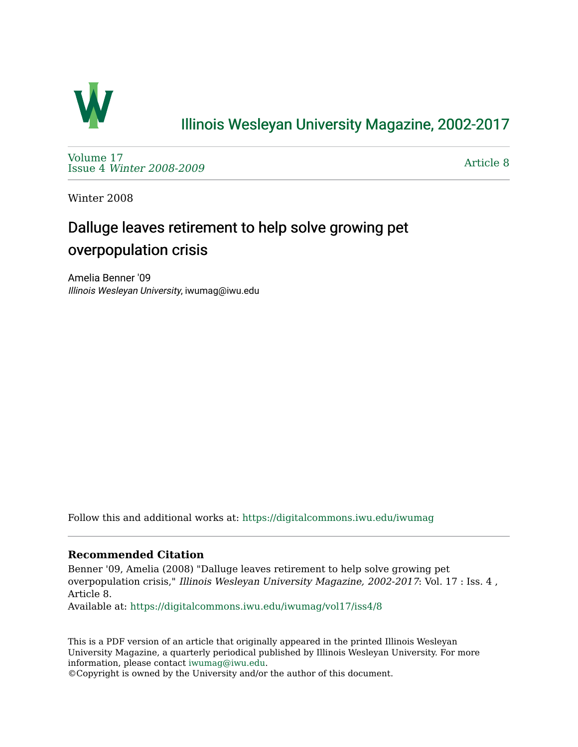

## [Illinois Wesleyan University Magazine, 2002-2017](https://digitalcommons.iwu.edu/iwumag)

[Volume 17](https://digitalcommons.iwu.edu/iwumag/vol17)  Issue 4 [Winter 2008-2009](https://digitalcommons.iwu.edu/iwumag/vol17/iss4)

[Article 8](https://digitalcommons.iwu.edu/iwumag/vol17/iss4/8) 

Winter 2008

# Dalluge leaves retirement to help solve growing pet overpopulation crisis

Amelia Benner '09 Illinois Wesleyan University, iwumag@iwu.edu

Follow this and additional works at: [https://digitalcommons.iwu.edu/iwumag](https://digitalcommons.iwu.edu/iwumag?utm_source=digitalcommons.iwu.edu%2Fiwumag%2Fvol17%2Fiss4%2F8&utm_medium=PDF&utm_campaign=PDFCoverPages) 

#### **Recommended Citation**

Benner '09, Amelia (2008) "Dalluge leaves retirement to help solve growing pet overpopulation crisis," Illinois Wesleyan University Magazine, 2002-2017: Vol. 17 : Iss. 4 , Article 8.

Available at: [https://digitalcommons.iwu.edu/iwumag/vol17/iss4/8](https://digitalcommons.iwu.edu/iwumag/vol17/iss4/8?utm_source=digitalcommons.iwu.edu%2Fiwumag%2Fvol17%2Fiss4%2F8&utm_medium=PDF&utm_campaign=PDFCoverPages)

This is a PDF version of an article that originally appeared in the printed Illinois Wesleyan University Magazine, a quarterly periodical published by Illinois Wesleyan University. For more information, please contact [iwumag@iwu.edu](mailto:iwumag@iwu.edu).

©Copyright is owned by the University and/or the author of this document.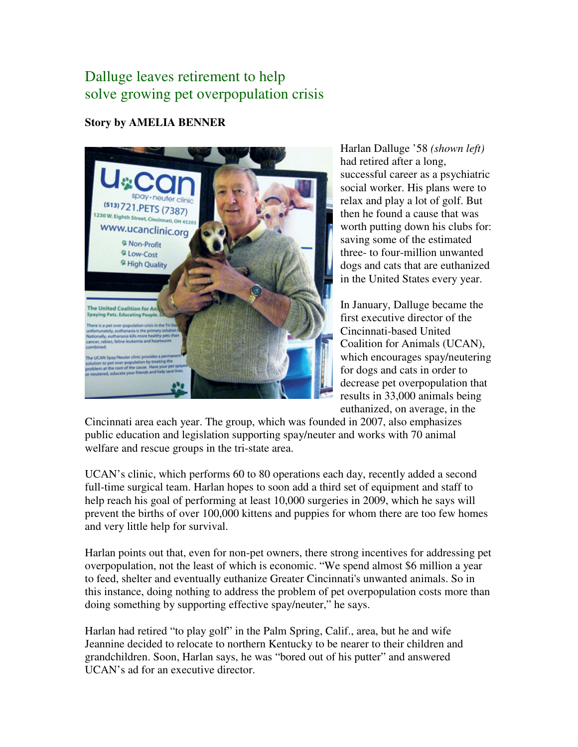## Dalluge leaves retirement to help solve growing pet overpopulation crisis

### **Story by AMELIA BENNER**



Harlan Dalluge '58 *(shown left)* had retired after a long, successful career as a psychiatric social worker. His plans were to relax and play a lot of golf. But then he found a cause that was worth putting down his clubs for: saving some of the estimated three- to four-million unwanted dogs and cats that are euthanized in the United States every year.

In January, Dalluge became the first executive director of the Cincinnati-based United Coalition for Animals (UCAN), which encourages spay/neutering for dogs and cats in order to decrease pet overpopulation that results in 33,000 animals being euthanized, on average, in the

Cincinnati area each year. The group, which was founded in 2007, also emphasizes public education and legislation supporting spay/neuter and works with 70 animal welfare and rescue groups in the tri-state area.

UCAN's clinic, which performs 60 to 80 operations each day, recently added a second full-time surgical team. Harlan hopes to soon add a third set of equipment and staff to help reach his goal of performing at least 10,000 surgeries in 2009, which he says will prevent the births of over 100,000 kittens and puppies for whom there are too few homes and very little help for survival.

Harlan points out that, even for non-pet owners, there strong incentives for addressing pet overpopulation, not the least of which is economic. "We spend almost \$6 million a year to feed, shelter and eventually euthanize Greater Cincinnati's unwanted animals. So in this instance, doing nothing to address the problem of pet overpopulation costs more than doing something by supporting effective spay/neuter," he says.

Harlan had retired "to play golf" in the Palm Spring, Calif., area, but he and wife Jeannine decided to relocate to northern Kentucky to be nearer to their children and grandchildren. Soon, Harlan says, he was "bored out of his putter" and answered UCAN's ad for an executive director.